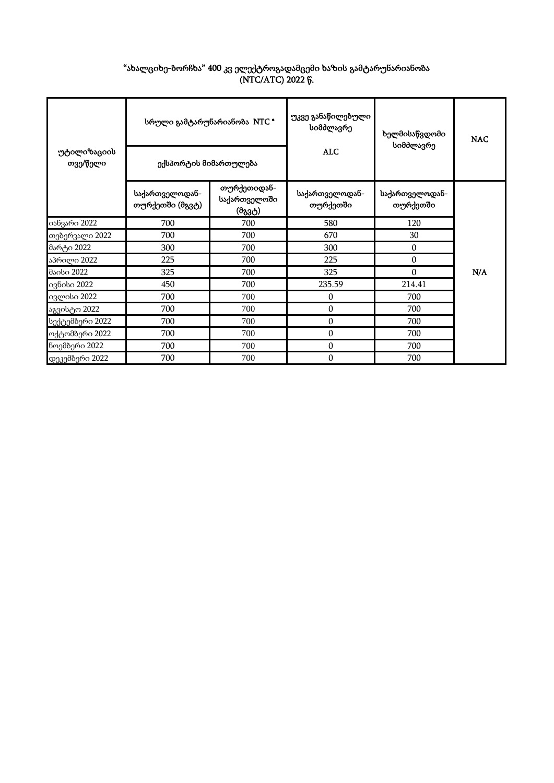| "ახალციხე-ბორჩხა" 400 კვ ელექტროგადამცემი ხაზის გამტარუნარიანობა |
|------------------------------------------------------------------|
| (NTC/ATC) 2022 წ.                                                |

| უტილიზაციის<br>თვე/წელი | სრული გამტარუნარიანობა NTC *<br>ექსპორტის მიმართულება |                                       | უკვე განაწილებული<br>სიმძლავრე<br><b>ALC</b> | ხელმისაწვდომი<br>სიმძლავრე | <b>NAC</b> |
|-------------------------|-------------------------------------------------------|---------------------------------------|----------------------------------------------|----------------------------|------------|
|                         | საქართველოდან-<br>თურქეთში (მგვტ)                     | თურქეთიდან-<br>საქართველოში<br>(მგვტ) | საქართველოდან-<br>თურქეთში                   | საქართველოდან-<br>თურქეთში |            |
| იანვარი 2022            | 700                                                   | 700                                   | 580                                          | 120                        |            |
| თებერვალი 2022          | 700                                                   | 700                                   | 670                                          | 30                         |            |
| მარტი 2022              | 300                                                   | 700                                   | 300                                          | $\mathbf{0}$               |            |
| აპრილი 2022             | 225                                                   | 700                                   | 225                                          | $\mathbf{0}$               |            |
| მაისი 2022              | 325                                                   | 700                                   | 325                                          | $\theta$                   | N/A        |
| ივნისი 2022             | 450                                                   | 700                                   | 235.59                                       | 214.41                     |            |
| ივლისი 2022             | 700                                                   | 700                                   | 0                                            | 700                        |            |
| აგვისტო 2022            | 700                                                   | 700                                   | $\boldsymbol{0}$                             | 700                        |            |
| სექტემბერი 2022         | 700                                                   | 700                                   | 0                                            | 700                        |            |
| ოქტომბერი 2022          | 700                                                   | 700                                   | $\boldsymbol{0}$                             | 700                        |            |
| ნოემბერი 2022           | 700                                                   | 700                                   | 0                                            | 700                        |            |
| დეკემბერი 2022          | 700                                                   | 700                                   | $\boldsymbol{0}$                             | 700                        |            |